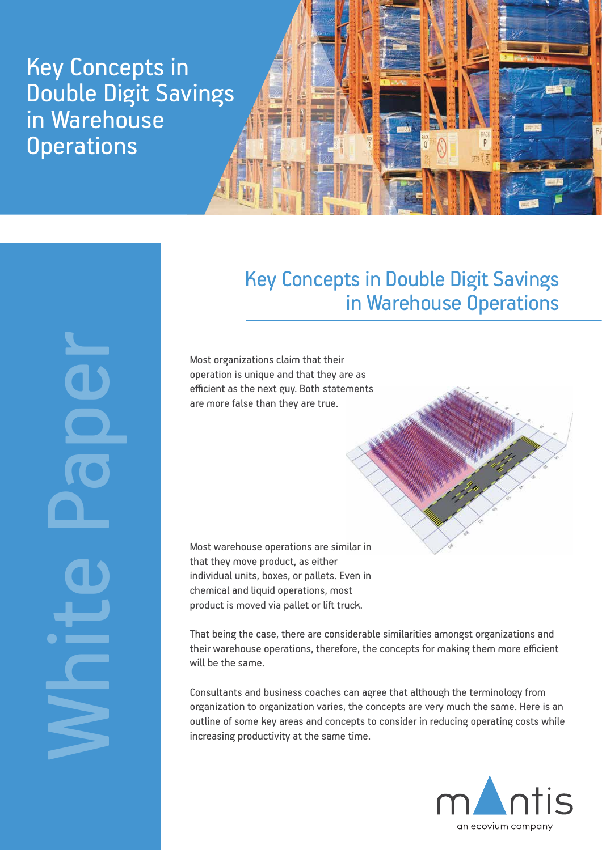Key Concepts in Double Digit Savings in Warehouse **Operations** 



White Paper

# Key Concepts in Double Digit Savings in Warehouse Operations

Most organizations claim that their operation is unique and that they are as efficient as the next guy. Both statements are more false than they are true.



That being the case, there are considerable similarities amongst organizations and their warehouse operations, therefore, the concepts for making them more efficient will be the same.

Consultants and business coaches can agree that although the terminology from organization to organization varies, the concepts are very much the same. Here is an outline of some key areas and concepts to consider in reducing operating costs while increasing productivity at the same time.

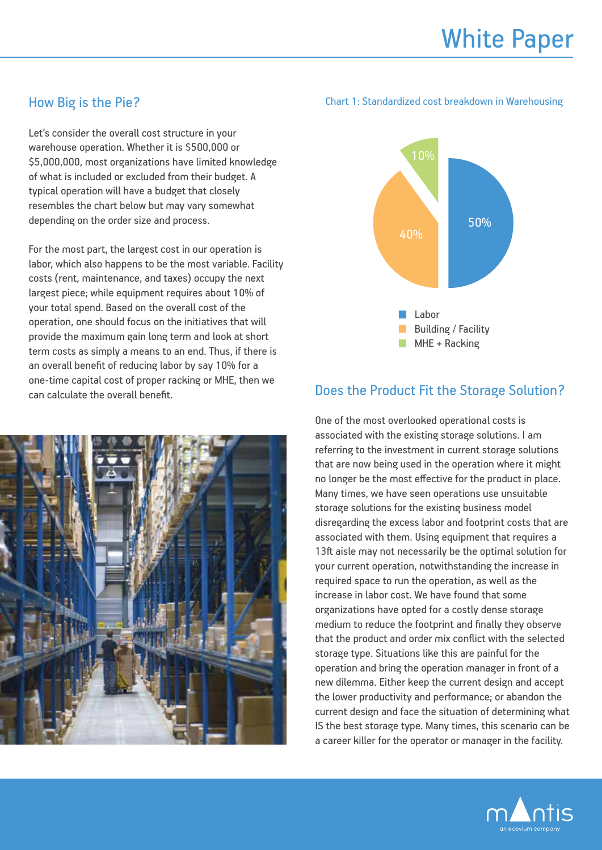# How Big is the Pie?

Let's consider the overall cost structure in your warehouse operation. Whether it is \$500,000 or \$5,000,000, most organizations have limited knowledge of what is included or excluded from their budget. A typical operation will have a budget that closely resembles the chart below but may vary somewhat depending on the order size and process.

For the most part, the largest cost in our operation is labor, which also happens to be the most variable. Facility costs (rent, maintenance, and taxes) occupy the next largest piece; while equipment requires about 10% of your total spend. Based on the overall cost of the operation, one should focus on the initiatives that will provide the maximum gain long term and look at short term costs as simply a means to an end. Thus, if there is an overall benefit of reducing labor by say 10% for a one-time capital cost of proper racking or MHE, then we can calculate the overall benefit events of the Storage Solution?



#### Chart 1: Standardized cost breakdown in Warehousing



One of the most overlooked operational costs is associated with the existing storage solutions. I am referring to the investment in current storage solutions that are now being used in the operation where it might no longer be the most effective for the product in place. Many times, we have seen operations use unsuitable storage solutions for the existing business model disregarding the excess labor and footprint costs that are associated with them. Using equipment that requires a 13ft aisle may not necessarily be the optimal solution for your current operation, notwithstanding the increase in required space to run the operation, as well as the increase in labor cost. We have found that some organizations have opted for a costly dense storage medium to reduce the footprint and finally they observe that the product and order mix conflict with the selected storage type. Situations like this are painful for the operation and bring the operation manager in front of a new dilemma. Either keep the current design and accept the lower productivity and performance; or abandon the current design and face the situation of determining what IS the best storage type. Many times, this scenario can be a career killer for the operator or manager in the facility.

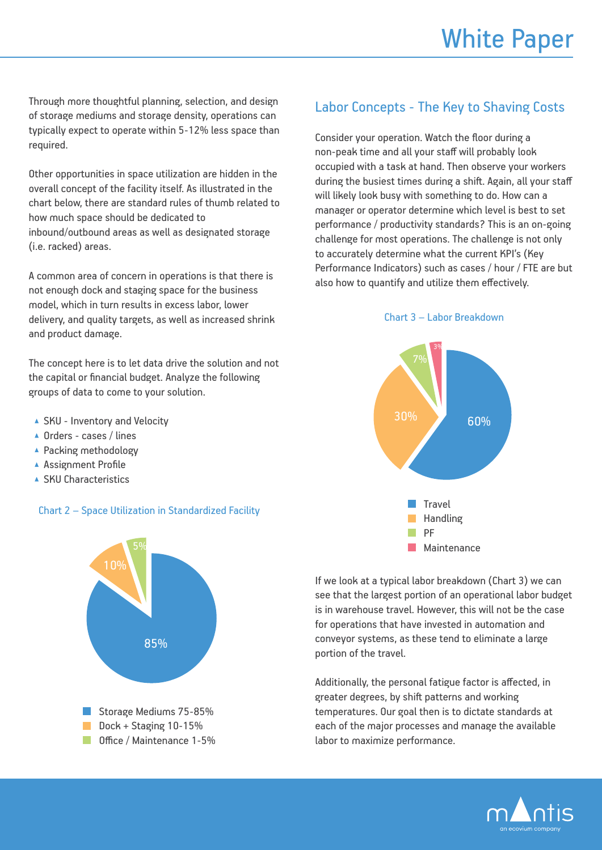Through more thoughtful planning, selection, and design of storage mediums and storage density, operations can typically expect to operate within 5-12% less space than required.

Other opportunities in space utilization are hidden in the overall concept of the facility itself. As illustrated in the chart below, there are standard rules of thumb related to how much space should be dedicated to inbound/outbound areas as well as designated storage (i.e. racked) areas.

A common area of concern in operations is that there is not enough dock and staging space for the business model, which in turn results in excess labor, lower delivery, and quality targets, as well as increased shrink and product damage.

The concept here is to let data drive the solution and not the capital or financial budget. Analyze the following groups of data to come to your solution.

- ▲ SKU Inventory and Velocity
- ▲ Orders cases / lines
- ▲ Packing methodology
- ▲ Assignment Profile
- ▲ SKU Characteristics

### Chart 2 – Space Utilization in Standardized Facility



## Labor Concepts - The Key to Shaving Costs

Consider your operation. Watch the floor during a non-peak time and all your staff will probably look occupied with a task at hand. Then observe your workers during the busiest times during a shift. Again, all your staff will likely look busy with something to do. How can a manager or operator determine which level is best to set performance / productivity standards? This is an on-going challenge for most operations. The challenge is not only to accurately determine what the current KPI's (Key Performance Indicators) such as cases / hour / FTE are but also how to quantify and utilize them effectively.

#### Chart 3 – Labor Breakdown



If we look at a typical labor breakdown (Chart 3) we can see that the largest portion of an operational labor budget is in warehouse travel. However, this will not be the case for operations that have invested in automation and conveyor systems, as these tend to eliminate a large portion of the travel.

Additionally, the personal fatigue factor is affected, in greater degrees, by shift patterns and working temperatures. Our goal then is to dictate standards at each of the major processes and manage the available labor to maximize performance.

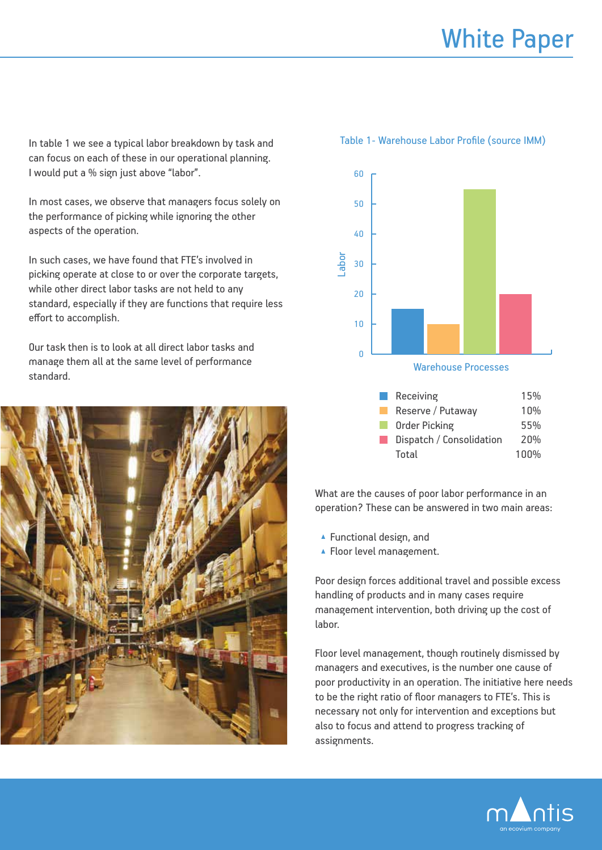In table 1 we see a typical labor breakdown by task and can focus on each of these in our operational planning. I would put a % sign just above "labor".

In most cases, we observe that managers focus solely on the performance of picking while ignoring the other aspects of the operation.

In such cases, we have found that FTE's involved in picking operate at close to or over the corporate targets, while other direct labor tasks are not held to any standard, especially if they are functions that require less effort to accomplish.

Our task then is to look at all direct labor tasks and manage them all at the same level of performance standard.





| Receiving                | 15%  |
|--------------------------|------|
| Reserve / Putaway        | 10%  |
| <b>Order Picking</b>     | 55%  |
| Dispatch / Consolidation | 20%  |
| Total                    | 100% |

What are the causes of poor labor performance in an operation? These can be answered in two main areas:

- ▲ Functional design, and
- ▲ Floor level management.

Poor design forces additional travel and possible excess handling of products and in many cases require management intervention, both driving up the cost of labor.

Floor level management, though routinely dismissed by managers and executives, is the number one cause of poor productivity in an operation. The initiative here needs to be the right ratio of floor managers to FTE's. This is necessary not only for intervention and exceptions but also to focus and attend to progress tracking of assignments.



#### Table 1- Warehouse Labor Profile (source IMM)